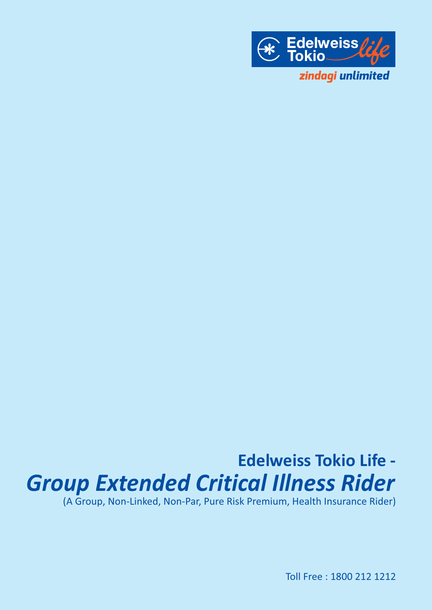

# **Edelweiss Tokio Life -** *Group Extended Critical Illness Rider*

(A Group, Non-Linked, Non-Par, Pure Risk Premium, Health Insurance Rider)

Toll Free : 1800 212 1212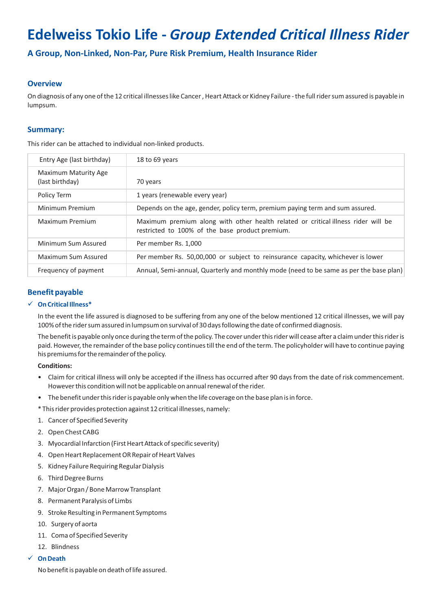# **Edelweiss Tokio Life -** *Group Extended Critical Illness Rider*

**A Group, Non-Linked, Non-Par, Pure Risk Premium, Health Insurance Rider**

# **Overview**

On diagnosis of any one of the 12 critical illnesses like Cancer , Heart Attack or Kidney Failure - the full rider sum assured is payable in lumpsum.

# **Summary:**

This rider can be attached to individual non-linked products.

| Entry Age (last birthday)               | 18 to 69 years                                                                                                                       |
|-----------------------------------------|--------------------------------------------------------------------------------------------------------------------------------------|
| Maximum Maturity Age<br>(last birthday) | 70 years                                                                                                                             |
| Policy Term                             | 1 years (renewable every year)                                                                                                       |
| Minimum Premium                         | Depends on the age, gender, policy term, premium paying term and sum assured.                                                        |
| Maximum Premium                         | Maximum premium along with other health related or critical illness rider will be<br>restricted to 100% of the base product premium. |
| Minimum Sum Assured                     | Per member Rs. 1,000                                                                                                                 |
| Maximum Sum Assured                     | Per member Rs. 50,00,000 or subject to reinsurance capacity, whichever is lower                                                      |
| Frequency of payment                    | Annual, Semi-annual, Quarterly and monthly mode (need to be same as per the base plan)                                               |

# **Benefit payable**

#### ü **On Critical Illness\***

In the event the life assured is diagnosed to be suffering from any one of the below mentioned 12 critical illnesses, we will pay 100% of the rider sum assured in lumpsum on survival of 30 days following the date of confirmed diagnosis.

The benefit is payable only once during the term of the policy. The cover under this rider will cease after a claim under this rider is paid. However, the remainder of the base policy continues till the end of the term. The policyholder will have to continue paying his premiums for the remainder of the policy.

#### **Conditions:**

- Claim for critical illness will only be accepted if the illness has occurred after 90 days from the date of risk commencement. However this condition will not be applicable on annual renewal of the rider.
- The benefit under this rider is payable only when the life coverage on the base plan is in force.

\* This rider provides protection against 12 critical illnesses, namely:

- 1. Cancer of Specified Severity
- 2. Open Chest CABG
- 3. Myocardial Infarction (First Heart Attack of specific severity)
- 4. Open Heart Replacement OR Repair of Heart Valves
- 5. Kidney Failure Requiring Regular Dialysis
- 6. Third Degree Burns
- 7. Major Organ / Bone Marrow Transplant
- 8. Permanent Paralysis of Limbs
- 9. Stroke Resulting in Permanent Symptoms
- 10. Surgery of aorta
- 11. Coma of Specified Severity
- 12. Blindness

#### ü **On Death**

No benefit is payable on death of life assured.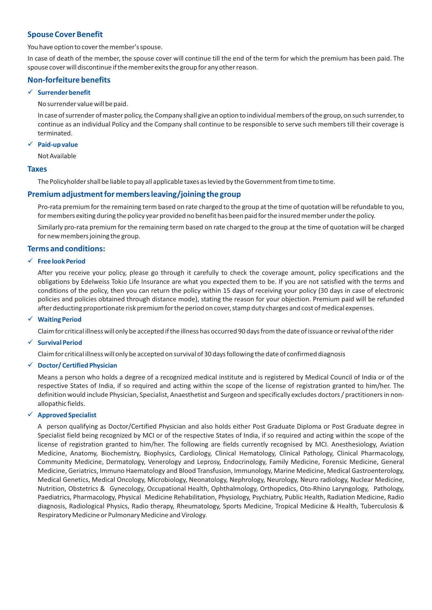# **Spouse Cover Benefit**

You have option to cover the member's spouse.

In case of death of the member, the spouse cover will continue till the end of the term for which the premium has been paid. The spouse cover will discontinue if the member exits the group for any other reason.

# **Non-forfeiture benefits**

#### ü **Surrender benefit**

No surrender value will be paid.

In case of surrender of master policy, the Company shall give an option to individual members of the group, on such surrender, to continue as an individual Policy and the Company shall continue to be responsible to serve such members till their coverage is terminated.

#### ü **Paid-up value**

Not Available

#### **Taxes**

The Policyholder shall be liable to pay all applicable taxes as levied by the Government from time to time.

# **Premium adjustment for members leaving/joining the group**

Pro-rata premium for the remaining term based on rate charged to the group at the time of quotation will be refundable to you, for members exiting during the policy year provided no benefit has been paid for the insured member under the policy.

Similarly pro-rata premium for the remaining term based on rate charged to the group at the time of quotation will be charged for new members joining the group.

#### **Terms and conditions:**

# ü **Free look Period**

After you receive your policy, please go through it carefully to check the coverage amount, policy specifications and the obligations by Edelweiss Tokio Life Insurance are what you expected them to be. If you are not satisfied with the terms and conditions of the policy, then you can return the policy within 15 days of receiving your policy (30 days in case of electronic policies and policies obtained through distance mode), stating the reason for your objection. Premium paid will be refunded after deducting proportionate risk premium for the period on cover, stamp duty charges and cost of medical expenses.

#### ü **Waiting Period**

Claim for critical illness will only be accepted if the illness has occurred 90 days from the date of issuance or revival of the rider

#### ü **Survival Period**

Claim for critical illness will only be accepted on survival of 30 days following the date of confirmed diagnosis

#### ü **Doctor/ Certified Physician**

Means a person who holds a degree of a recognized medical institute and is registered by Medical Council of India or of the respective States of India, if so required and acting within the scope of the license of registration granted to him/her. The definition would include Physician, Specialist, Anaesthetist and Surgeon and specifically excludes doctors / practitioners in nonallopathic fields.

#### ü **Approved Specialist**

A person qualifying as Doctor/Certified Physician and also holds either Post Graduate Diploma or Post Graduate degree in Specialist field being recognized by MCI or of the respective States of India, if so required and acting within the scope of the license of registration granted to him/her. The following are fields currently recognised by MCI. Anesthesiology, Aviation Medicine, Anatomy, Biochemistry, Biophysics, Cardiology, Clinical Hematology, Clinical Pathology, Clinical Pharmacology, Community Medicine, Dermatology, Venerology and Leprosy, Endocrinology, Family Medicine, Forensic Medicine, General Medicine, Geriatrics, Immuno Haematology and Blood Transfusion, Immunology, Marine Medicine, Medical Gastroenterology, Medical Genetics, Medical Oncology, Microbiology, Neonatology, Nephrology, Neurology, Neuro radiology, Nuclear Medicine, Nutrition, Obstetrics & Gynecology, Occupational Health, Ophthalmology, Orthopedics, Oto-Rhino Laryngology, Pathology, Paediatrics, Pharmacology, Physical Medicine Rehabilitation, Physiology, Psychiatry, Public Health, Radiation Medicine, Radio diagnosis, Radiological Physics, Radio therapy, Rheumatology, Sports Medicine, Tropical Medicine & Health, Tuberculosis & Respiratory Medicine or Pulmonary Medicine and Virology.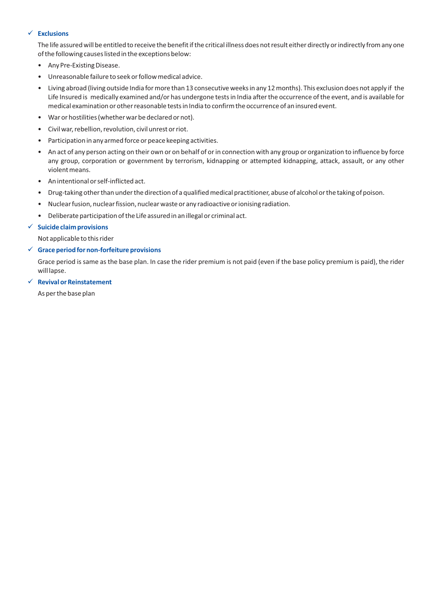#### ü **Exclusions**

The life assured will be entitled to receive the benefit if the critical illness does not result either directly or indirectly from any one of the following causes listed in the exceptions below:

- Any Pre-Existing Disease.
- Unreasonable failure to seek or follow medical advice.
- Living abroad (living outside India for more than 13 consecutive weeks in any 12 months). This exclusion does not apply if the Life Insured is medically examined and/or has undergone tests in India after the occurrence of the event, and is available for medical examination or other reasonable tests in India to confirm the occurrence of an insured event.
- War or hostilities (whether war be declared or not).
- Civil war, rebellion, revolution, civil unrest or riot.
- Participation in any armed force or peace keeping activities.
- An act of any person acting on their own or on behalf of or in connection with any group or organization to influence by force any group, corporation or government by terrorism, kidnapping or attempted kidnapping, attack, assault, or any other violent means.
- An intentional or self-inflicted act.
- Drug-taking other than under the direction of a qualified medical practitioner, abuse of alcohol or the taking of poison.
- Nuclear fusion, nuclear fission, nuclear waste or any radioactive or ionising radiation.
- Deliberate participation of the Life assured in an illegal or criminal act.

#### ü **Suicide claim provisions**

Not applicable to this rider

#### ü **Grace period for non-forfeiture provisions**

Grace period is same as the base plan. In case the rider premium is not paid (even if the base policy premium is paid), the rider will lapse.

#### ü **Revival or Reinstatement**

As per the base plan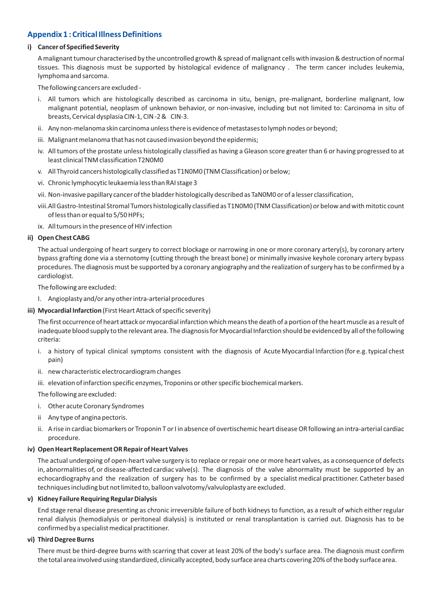# **Appendix 1 : Critical Illness Definitions**

#### **i) Cancer of Specified Severity**

A malignant tumour characterised by the uncontrolled growth & spread of malignant cells with invasion & destruction of normal tissues. This diagnosis must be supported by histological evidence of malignancy . The term cancer includes leukemia, lymphoma and sarcoma.

The following cancers are excluded -

- i. All tumors which are histologically described as carcinoma in situ, benign, pre-malignant, borderline malignant, low malignant potential, neoplasm of unknown behavior, or non-invasive, including but not limited to: Carcinoma in situ of breasts, Cervical dysplasia CIN-1, CIN -2 & CIN-3.
- ii. Any non-melanoma skin carcinoma unless there is evidence of metastases to lymph nodes or beyond;
- iii. Malignant melanoma that has not caused invasion beyond the epidermis;
- iv. All tumors of the prostate unless histologically classified as having a Gleason score greater than 6 or having progressed to at least clinical TNM classification T2N0M0
- v. All Thyroid cancers histologically classified as T1N0M0 (TNM Classification) or below;
- vi. Chronic lymphocytic leukaemia less than RAI stage 3
- vii. Non-invasive papillary cancer of the bladder histologically described as TaN0M0 or of a lesser classification,
- viii. All Gastro-Intestinal Stromal Tumors histologically classified as T1N0M0 (TNM Classification) or below and with mitotic count of less than or equal to 5/50 HPFs;
- ix. All tumours in the presence of HIV infection

#### **ii) Open Chest CABG**

The actual undergoing of heart surgery to correct blockage or narrowing in one or more coronary artery(s), by coronary artery bypass grafting done via a sternotomy (cutting through the breast bone) or minimally invasive keyhole coronary artery bypass procedures. The diagnosis must be supported by a coronary angiography and the realization of surgery has to be confirmed by a cardiologist.

The following are excluded:

- I. Angioplasty and/or any other intra-arterial procedures
- **iii) Myocardial Infarction**(First Heart Attack of specific severity)

The first occurrence of heart attack or myocardial infarction which means the death of a portion of the heart muscle as a result of inadequate blood supply to the relevant area. The diagnosis for Myocardial Infarction should be evidenced by all of the following criteria:

- i. a history of typical clinical symptoms consistent with the diagnosis of Acute Myocardial Infarction (for e.g. typical chest pain)
- ii. new characteristic electrocardiogram changes
- iii. elevation of infarction specific enzymes, Troponins or other specific biochemical markers.

The following are excluded:

- i. Other acute Coronary Syndromes
- ii Any type of angina pectoris.
- ii. A rise in cardiac biomarkers or Troponin T or I in absence of overtischemic heart disease OR following an intra-arterial cardiac procedure.

#### **iv) Open Heart Replacement OR Repair of Heart Valves**

The actual undergoing of open-heart valve surgery is to replace or repair one or more heart valves, as a consequence of defects in, abnormalities of, or disease-affected cardiac valve(s). The diagnosis of the valve abnormality must be supported by an echocardiography and the realization of surgery has to be confirmed by a specialist medical practitioner. Catheter based techniques including but not limited to, balloon valvotomy/valvuloplasty are excluded.

#### **v) Kidney Failure Requiring Regular Dialysis**

End stage renal disease presenting as chronic irreversible failure of both kidneys to function, as a result of which either regular renal dialysis (hemodialysis or peritoneal dialysis) is instituted or renal transplantation is carried out. Diagnosis has to be confirmed by a specialist medical practitioner.

#### **vi) Third Degree Burns**

There must be third-degree burns with scarring that cover at least 20% of the body's surface area. The diagnosis must confirm the total area involved using standardized, clinically accepted, body surface area charts covering 20% of the body surface area.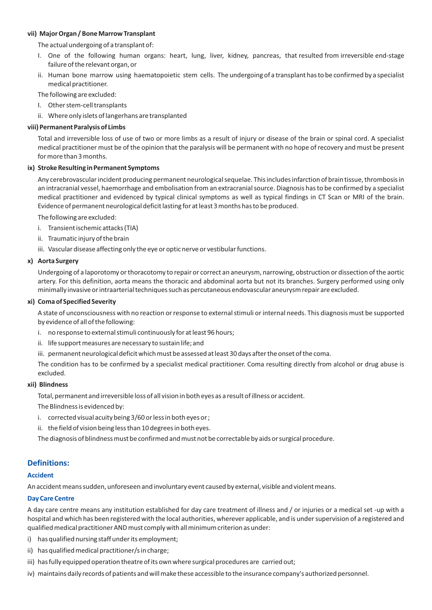#### **vii) Major Organ / Bone Marrow Transplant**

The actual undergoing of a transplant of:

- I. One of the following human organs: heart, lung, liver, kidney, pancreas, that resulted from irreversible end-stage failure of the relevant organ, or
- ii. Human bone marrow using haematopoietic stem cells. The undergoing of a transplant has to be confirmed by a specialist medical practitioner.

The following are excluded:

- I. Other stem-cell transplants
- ii. Where only islets of langerhans are transplanted

#### **viii) Permanent Paralysis of Limbs**

Total and irreversible loss of use of two or more limbs as a result of injury or disease of the brain or spinal cord. A specialist medical practitioner must be of the opinion that the paralysis will be permanent with no hope of recovery and must be present for more than 3 months.

#### **ix) Stroke Resulting in Permanent Symptoms**

Any cerebrovascular incident producing permanent neurological sequelae. This includes infarction of brain tissue, thrombosis in an intracranial vessel, haemorrhage and embolisation from an extracranial source. Diagnosis has to be confirmed by a specialist medical practitioner and evidenced by typical clinical symptoms as well as typical findings in CT Scan or MRI of the brain. Evidence of permanent neurological deficit lasting for at least 3 months has to be produced.

The following are excluded:

- i. Transient ischemic attacks (TIA)
- ii. Traumatic injury of the brain
- iii. Vascular disease affecting only the eye or optic nerve or vestibular functions.

#### **x) Aorta Surgery**

Undergoing of a laporotomy or thoracotomy to repair or correct an aneurysm, narrowing, obstruction or dissection of the aortic artery. For this definition, aorta means the thoracic and abdominal aorta but not its branches. Surgery performed using only minimally invasive or intraarterial techniques such as percutaneous endovascular aneurysm repair are excluded.

#### **xi) Coma of Specified Severity**

A state of unconsciousness with no reaction or response to external stimuli or internal needs. This diagnosis must be supported by evidence of all of the following:

- i. no response to external stimuli continuously for at least 96 hours;
- ii. life support measures are necessary to sustain life; and
- iii. permanent neurological deficit which must be assessed at least 30 days after the onset of the coma.

The condition has to be confirmed by a specialist medical practitioner. Coma resulting directly from alcohol or drug abuse is excluded.

#### **xii) Blindness**

Total, permanent and irreversible loss of all vision in both eyes as a result of illness or accident.

The Blindness is evidenced by:

- i. corrected visual acuity being 3/60 or less in both eyes or ;
- ii. the field of vision being less than 10 degrees in both eyes.

The diagnosis of blindness must be confirmed and must not be correctable by aids or surgical procedure.

# **Definitions:**

#### **Accident**

An accident means sudden, unforeseen and involuntary event caused by external, visible and violent means.

#### **Day Care Centre**

A day care centre means any institution established for day care treatment of illness and / or injuries or a medical set -up with a hospital and which has been registered with the local authorities, wherever applicable, and is under supervision of a registered and qualified medical practitioner AND must comply with all minimum criterion as under:

- i) has qualified nursing staff under its employment;
- ii) has qualified medical practitioner/s in charge;
- iii) has fully equipped operation theatre of its own where surgical procedures are carried out;
- iv) maintains daily records of patients and will make these accessible to the insurance company's authorized personnel.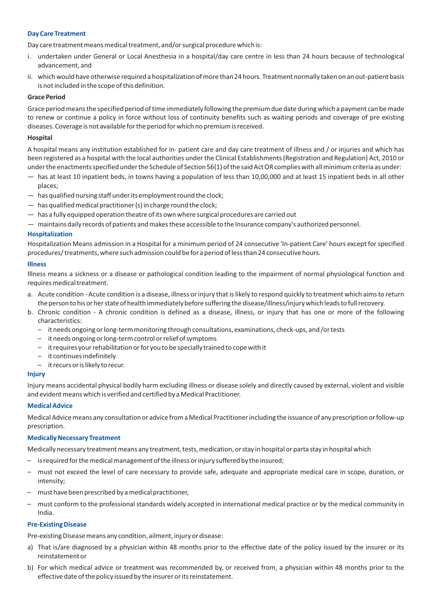#### **Day Care Treatment**

Day care treatment means medical treatment, and/or surgical procedure which is:

- i. undertaken under General or Local Anesthesia in a hospital/day care centre in less than 24 hours because of technological advancement, and
- ii. which would have otherwise required a hospitalization of more than 24 hours. Treatment normally taken on an out-patient basis is not included in the scope of this definition.

#### **Grace Period**

Grace period means the specified period of time immediately following the premium due date during which a payment can be made to renew or continue a policy in force without loss of continuity benefits such as waiting periods and coverage of pre existing diseases. Coverage is not available for the period for which no premium is received.

#### **Hospital**

A hospital means any institution established for in- patient care and day care treatment of illness and / or injuries and which has been registered as a hospital with the local authorities under the Clinical Establishments (Registration and Regulation) Act, 2010 or under the enactments specified under the Schedule of Section 56(1) of the said Act OR complies with all minimum criteria as under:

- has at least 10 inpatient beds, in towns having a population of less than 10,00,000 and at least 15 inpatient beds in all other places;
- has qualified nursing staff under its employment round the clock;
- $-$  has qualified medical practitioner (s) in charge round the clock;
- has a fully equipped operation theatre of its own where surgical procedures are carried out
- maintains daily records of patients and makes these accessible to the Insurance company's authorized personnel.

#### **Hospitalization**

Hospitalization Means admission in a Hospital for a minimum period of 24 consecutive 'In-patient Care' hours except for specified procedures/ treatments, where such admission could be for a period of less than 24 consecutive hours.

#### **Illness**

Illness means a sickness or a disease or pathological condition leading to the impairment of normal physiological function and requires medical treatment.

- a. Acute condition Acute condition is a disease, illness or injury that is likely to respond quickly to treatment which aims to return the person to his or her state of health immediately before suffering the disease/illness/injury which leads to full recovery.
- b. Chronic condition A chronic condition is defined as a disease, illness, or injury that has one or more of the following characteristics:
	- it needs ongoing or long-term monitoring through consultations, examinations, check-ups, and /or tests
	- it needs ongoing or long-term control or relief of symptoms
	- it requires your rehabilitation or for you to be specially trained to cope with it
	- it continues indefinitely
	- it recurs or is likely to recur.

#### **Injury**

Injury means accidental physical bodily harm excluding illness or disease solely and directly caused by external, violent and visible and evident means which is verified and certified by a Medical Practitioner.

#### **Medical Advice**

Medical Advice means any consultation or advice from a Medical Practitioner including the issuance of any prescription or follow-up prescription.

#### **Medically Necessary Treatment**

Medically necessary treatment means any treatment, tests, medication, or stay in hospital or parta stay in hospital which

- is required for the medical management of the illness or injury suffered by the insured;
- must not exceed the level of care necessary to provide safe, adequate and appropriate medical care in scope, duration, or intensity;
- must have been prescribed by a medical practitioner,
- must conform to the professional standards widely accepted in international medical practice or by the medical community in India.

#### **Pre-Existing Disease**

Pre-existing Disease means any condition, ailment, injury or disease:

- a) That is/are diagnosed by a physician within 48 months prior to the effective date of the policy issued by the insurer or its reinstatement or
- b) For which medical advice or treatment was recommended by, or received from, a physician within 48 months prior to the effective date of the policy issued by the insurer or its reinstatement.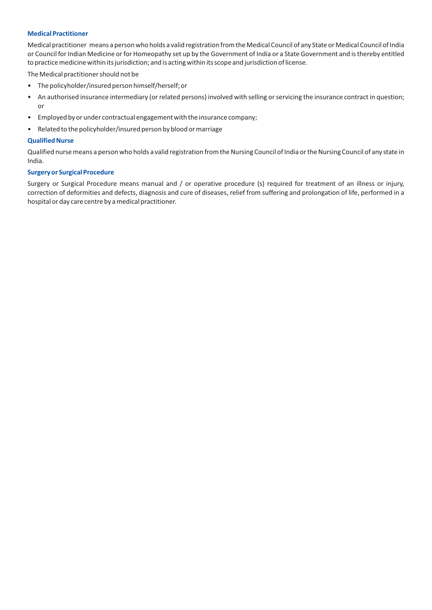#### **Medical Practitioner**

Medical practitioner means a person who holds a valid registration from the Medical Council of any State or Medical Council of India or Council for Indian Medicine or for Homeopathy set up by the Government of India or a State Government and is thereby entitled to practice medicine within its jurisdiction; and is acting within its scope and jurisdiction of license.

The Medical practitioner should not be

- The policyholder/insured person himself/herself; or
- An authorised insurance intermediary (or related persons) involved with selling or servicing the insurance contract in question; or
- Employed by or under contractual engagement with the insurance company;
- Related to the policyholder/insured person by blood or marriage

#### **Qualified Nurse**

Qualified nurse means a person who holds a valid registration from the Nursing Council of India or the Nursing Council of any state in India.

#### **Surgery or Surgical Procedure**

Surgery or Surgical Procedure means manual and / or operative procedure (s) required for treatment of an illness or injury, correction of deformities and defects, diagnosis and cure of diseases, relief from suffering and prolongation of life, performed in a hospital or day care centre by a medical practitioner.